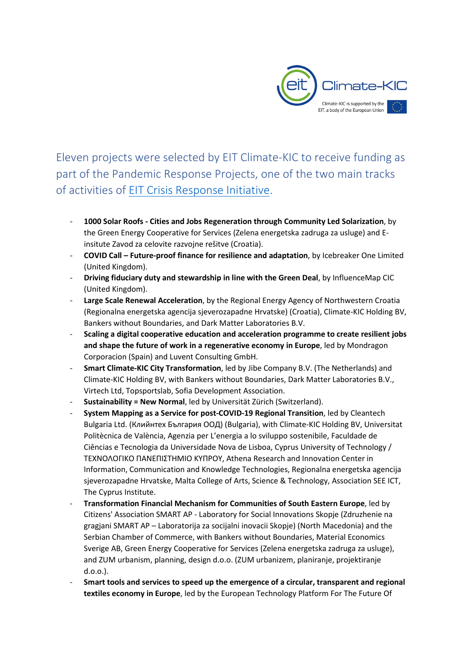

Eleven projects were selected by EIT Climate-KIC to receive funding as part of the Pandemic Response Projects, one of the two main tracks of activities of [EIT Crisis Response Initiative.](https://eit.europa.eu/news-events/news/eit-announces-eur-60-million-crisis-response-initiative)

- **1000 Solar Roofs - Cities and Jobs Regeneration through Community Led Solarization**, by the Green Energy Cooperative for Services (Zelena energetska zadruga za usluge) and Einsitute Zavod za celovite razvojne rešitve (Croatia).
- **COVID Call – Future-proof finance for resilience and adaptation**, by Icebreaker One Limited (United Kingdom).
- **Driving fiduciary duty and stewardship in line with the Green Deal**, by InfluenceMap CIC (United Kingdom).
- Large Scale Renewal Acceleration, by the Regional Energy Agency of Northwestern Croatia (Regionalna energetska agencija sjeverozapadne Hrvatske) (Croatia), Climate-KIC Holding BV, Bankers without Boundaries, and Dark Matter Laboratories B.V.
- **Scaling a digital cooperative education and acceleration programme to create resilient jobs and shape the future of work in a regenerative economy in Europe**, led by Mondragon Corporacion (Spain) and Luvent Consulting GmbH.
- **Smart Climate-KIC City Transformation**, led by Jibe Company B.V. (The Netherlands) and Climate-KIC Holding BV, with Bankers without Boundaries, Dark Matter Laboratories B.V., Virtech Ltd, Topsportslab, Sofia Development Association.
- **Sustainability = New Normal**, led by Universität Zürich (Switzerland).
- **System Mapping as a Service for post-COVID-19 Regional Transition**, led by Cleantech Bulgaria Ltd. (Клийнтех България ООД) (Bulgaria), with Climate-KIC Holding BV, Universitat Politècnica de València, Agenzia per L'energia a lo sviluppo sostenibile, Faculdade de Ciências e Tecnologia da Universidade Nova de Lisboa, Cyprus University of Technology / ΤΕΧΝΟΛΟΓΙΚΟ ΠΑΝΕΠΙΣΤΗΜΙΟ ΚΥΠΡΟΥ, Athena Research and Innovation Center in Information, Communication and Knowledge Technologies, Regionalna energetska agencija sjeverozapadne Hrvatske, Malta College of Arts, Science & Technology, Association SEE ICT, The Cyprus Institute.
- **Transformation Financial Mechanism for Communities of South Eastern Europe**, led by Citizens' Association SMART AP - Laboratory for Social Innovations Skopje (Zdruzhenie na gragjani SMART AP – Laboratorija za socijalni inovacii Skopje) (North Macedonia) and the Serbian Chamber of Commerce, with Bankers without Boundaries, Material Economics Sverige AB, Green Energy Cooperative for Services (Zelena energetska zadruga za usluge), and ZUM urbanism, planning, design d.o.o. (ZUM urbanizem, planiranje, projektiranje d.o.o.).
- **Smart tools and services to speed up the emergence of a circular, transparent and regional textiles economy in Europe**, led by the European Technology Platform For The Future Of